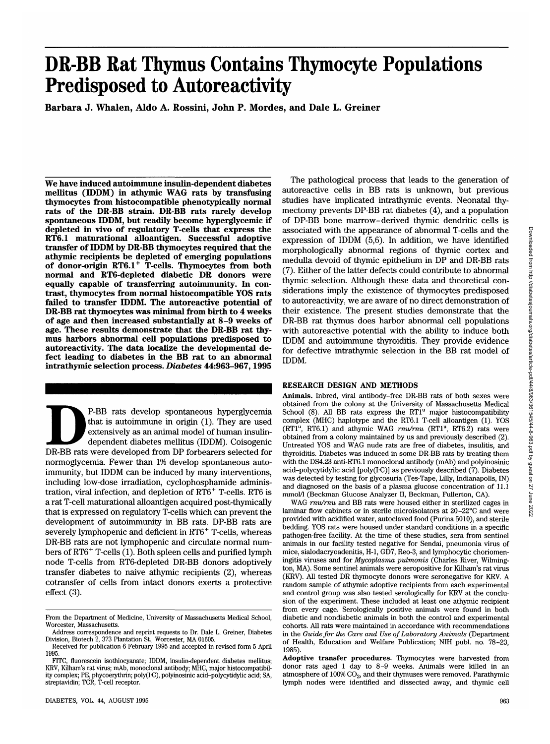# **DR-BB Rat Thymus Contains Thymocyte Populations Predisposed to Autoreactivity**

**Barbara J. Whalen, Aldo A. Rossini, John P. Mordes, and Dale L. Greiner**

**We have induced autoimmune insulin-dependent diabetes mellitus (IDDM) in athymic WAG rats by transfusing thymocytes from histocompatible phenotypically normal rats of the DR-BB strain. DR-BB rats rarely develop spontaneous IDDM, but readily become hyperglycemic if depleted in vivo of regulatory T-cells that express the RT6.1 maturational alloantigen. Successful adoptive transfer of IDDM by DR-BB thymocytes required that the athymic recipients be depleted of emerging populations of donor-origin RT6.1<sup>+</sup> T-cells. Thymocytes from both normal and RT6-depleted diabetic DR donors were equally capable of transferring autoimmunity. In contrast, thymocytes from normal histocompatible YOS rats failed to transfer IDDM. The autoreactive potential of DR-BB rat thymocytes was minimal from birth to 4 weeks of age and then increased substantially at 8-9 weeks of age. These results demonstrate that the DR-BB rat thymus harbors abnormal cell populations predisposed to autoreactivity. The data localize the developmental defect leading to diabetes in the BB rat to an abnormal intrathymic selection process.** *Diabetes* **44:963-967,1995**

P-BB rats develop spontaneous hyperglycemia<br>
that is autoimmune in origin (1). They are used<br>
extensively as an animal model of human insulin-<br>
dependent diabetes mellitus (IDDM). Coisogenic<br>
DR-BB rats were developed from that is autoimmune in origin (1). They are used extensively as an animal model of human insulindependent diabetes mellitus (IDDM). Coisogenic normoglycemia. Fewer than 1% develop spontaneous autoimmunity, but IDDM can be induced by many interventions, including low-dose irradiation, cyclophosphamide administration, viral infection, and depletion of RT6<sup>+</sup> T-cells. RT6 is a rat T-cell maturational alloantigen acquired post-thymically that is expressed on regulatory T-cells which can prevent the development of autoimmunity in BB rats. DP-BB rats are severely lymphopenic and deficient in RT6<sup>+</sup> T-cells, whereas DR-BB rats are not lymphopenic and circulate normal numbers of RT6<sup>+</sup> T-cells (1). Both spleen cells and purified lymph node T-cells from RT6-depleted DR-BB donors adoptively transfer diabetes to naive athymic recipients (2), whereas cotransfer of cells from intact donors exerts a protective effect (3).

The pathological process that leads to the generation of autoreactive cells in BB rats is unknown, but previous studies have implicated intrathymic events. Neonatal thymectomy prevents DP-BB rat diabetes (4), and a population of DP-BB bone marrow-derived thymic dendritic cells is associated with the appearance of abnormal T-cells and the expression of IDDM (5,6). In addition, we have identified morphologically abnormal regions of thymic cortex and medulla devoid of thymic epithelium in DP and DR-BB rats (7). Either of the latter defects could contribute to abnormal thymic selection. Although these data and theoretical considerations imply the existence of thymocytes predisposed to autoreactivity, we are aware of no direct demonstration of their existence. The present studies demonstrate that the DR-BB rat thymus does harbor abnormal cell populations with autoreactive potential with the ability to induce both IDDM and autoimmune thyroiditis. They provide evidence for defective intrathymic selection in the BB rat model of IDDM.

### RESEARCH DESIGN AND METHODS

**Animals.** Inbred, viral antibody-free DR-BB rats of both sexes were obtained from the colony at the University of Massachusetts Medical School (8). All BB rats express the RT1<sup>u</sup> major histocompatibility complex (MHC) haplotype and the RT6.1 T-cell alloantigen (1). YOS (RT1<sup>u</sup>, RT6.1) and athymic WAG  $rnu/rnu$  (RT1<sup>u</sup>, RT6.2) rats were obtained from a colony maintained by us and previously described (2). Untreated YOS and WAG nude rats are free of diabetes, insulitis, and thyroiditis. Diabetes was induced in some DR-BB rats by treating them with the DS4.23 anti-RT6.1 monoclonal antibody (mAb) and polyinosinic acid-polycytidylic acid [poly(I-C)] as previously described (7). Diabetes was detected by testing for glycosuria (Tes-Tape, Lilly, Indianapolis, IN) and diagnosed on the basis of a plasma glucose concentration of 11.1 mmol/1 (Beckman Glucose Analyzer II, Beckman, Fullerton, CA).

WAG *rnu/rnu* and BB rats were housed either in sterilized cages in laminar flow cabinets or in sterile microisolators at 20-22°C and were provided with acidified water, autoclaved food (Purina 5010), and sterile bedding. YOS rats were housed under standard conditions in a specific pathogen-free facility. At the time of these studies, sera from sentinel animals in our facility tested negative for Sendai, pneumonia virus of mice, sialodacryoadenitis, H-l, GD7, Reo-3, and lymphocytic choriomeningitis viruses and for *Mycoplasma pulmonis* (Charles River, Wilmington, MA). Some sentinel animals were seropositive for Kilham's rat virus (KRV). All tested DR thymocyte donors were seronegative for KRV. A random sample of athymic adoptive recipients from each experimental and control group was also tested serologically for KRV at the conclusion of the experiment. These included at least one athymic recipient from every cage. Serologically positive animals were found in both diabetic and nondiabetic animals in both the control and experimental cohorts. All rats were maintained in accordance with recommendations in the *Guide for the Care and Use of Laboratory Animals* (Department of Health, Education and Welfare Publication; NIH publ. no. 78-23, 1985).

**Adoptive transfer procedures.** Thymocytes were harvested from donor rats aged 1 day to 8-9 weeks. Animals were killed in an atmosphere of  $100\%$  CO<sub>2</sub>, and their thymuses were removed. Parathymic lymph nodes were identified and dissected away, and thymic cell

From the Department of Medicine, University of Massachusetts Medical School, Worcester, Massachusetts.

Address correspondence and reprint requests to Dr. Dale L. Greiner, Diabetes Division, Biotech 2, 373 Plantation St., Worcester, MA 01605. Received for publication 6 February 1995 and accepted in revised form 5 April

<sup>1995.</sup>

FITC, fluorescein isothiocyanate; IDDM, insulin-dependent diabetes mellitus; KRV, Kilham's rat virus; mAb, monoclonal antibody; MHC, major histocompatibil- ity complex; PE, phycoerythrin; poly(TC), polyinosinic acid-polycytidylic acid; SA, streptavidin; TCR, T-cell receptor.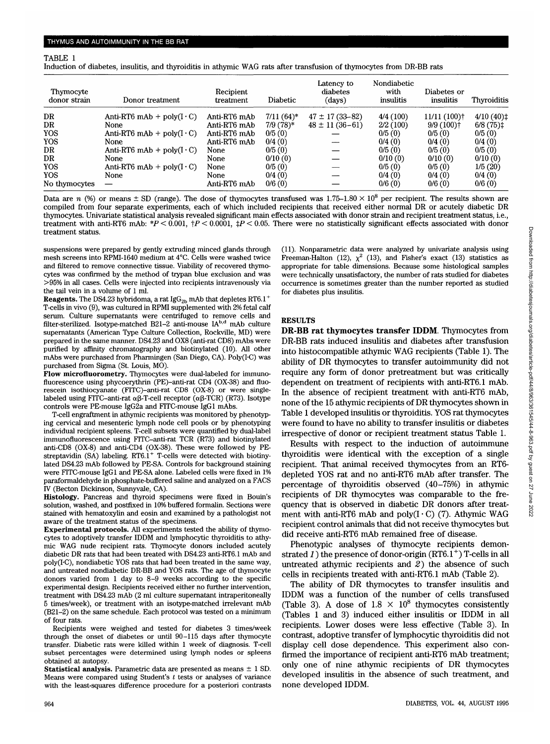#### TABLE 1

Induction of diabetes, insulitis, and thyroiditis in athymic WAG rats after transfusion of thymocytes from DR-BB rats

| Thymocyte<br>donor strain | Donor treatment                         | Recipient<br>treatment | Diabetic     | Latency to<br>diabetes<br>(days) | Nondiabetic<br>with<br>insulitis | Diabetes or<br>insulitis  | <b>Thyroiditis</b> |
|---------------------------|-----------------------------------------|------------------------|--------------|----------------------------------|----------------------------------|---------------------------|--------------------|
| DR                        | Anti-RT6 mAb + poly $(I \cdot C)$       | Anti-RT6 mAb           | $7/11(64)$ * | $47 \pm 17(33 - 82)$             | 4/4(100)                         | $11/11(100)$ <sup>+</sup> | $4/10(40)$ ‡       |
| DR                        | None                                    | Anti-RT6 mAb           | $7/9(78)*$   | $48 \pm 11(36-61)$               | 2/2(100)                         | $9/9(100)$ <sup>+</sup>   | $6/8(75)$ ‡        |
| YOS                       | Anti-RT6 mAb + $poly(I \cdot C)$        | Anti-RT6 mAb           | 0/5(0)       |                                  | 0/5(0)                           | 0/5(0)                    | 0/5(0)             |
| YOS                       | None                                    | Anti-RT6 mAb           | 0/4(0)       |                                  | 0/4(0)                           | 0/4(0)                    | 0/4(0)             |
| DR                        | Anti-RT6 mAb + $\text{poly}(I \cdot C)$ | None                   | 0/5(0)       |                                  | 0/5(0)                           | 0/5(0)                    | 0/5(0)             |
| DR                        | <b>None</b>                             | None                   | 0/10(0)      |                                  | 0/10(0)                          | 0/10(0)                   | 0/10(0)            |
| YOS                       | Anti-RT6 mAb + $poly(I \cdot C)$        | None                   | 0/5(0)       |                                  | 0/5(0)                           | 0/5(0)                    | 1/5(20)            |
| YOS                       | None                                    | None                   | 0/4(0)       |                                  | 0/4(0)                           | 0/4(0)                    | 0/4(0)             |
| No thymocytes             |                                         | Anti-RT6 mAb           | 0/6(0)       |                                  | 0/6(0)                           | 0/6(0)                    | 0/6(0)             |

Data are  $n$  (%) or means  $\pm$  SD (range). The dose of thymocytes transfused was  $1.75\text{--}1.80\times10^8$  per recipient. The results shown are compiled from four separate experiments, each of which included recipients that received either normal DR or acutely diabetic DR thymocytes. Univariate statistical analysis revealed significant main effects associated with donor strain and recipient treatment status, i.e., treatment with anti-RT6 mAb: *\*P <* 0.001, tP < 0.0001, *%P <* 0.05. There were no statistically significant effects associated with donor treatment status.

suspensions were prepared by gently extruding minced glands through mesh screens into RPMI-1640 medium at 4°C. Cells were washed twice and filtered to remove connective tissue. Viability of recovered thymocytes was confirmed by the method of trypan blue exclusion and was >95% in all cases. Cells were injected into recipients intravenously via the tail vein in a volume of 1 ml.

**Reagents.** The DS4.23 hybridoma, a rat  $\text{IGG}_{2b}$  mAb that depletes RT6.1<sup>+</sup> T-cells in vivo (9), was cultured in RPMI supplemented with 2% fetal calf serum. Culture supernatants were centrifuged to remove cells and filter-sterilized. Isotype-matched B21-2 anti-mouse  $IA<sup>b,d</sup>$  mAb culture supernatants (American Type Culture Collection, Rockville, MD) were prepared in the same manner. DS4.23 and OX8 (anti-rat CD8) mAbs were purified by affinity chromatography and biotinylated (10). All other mAbs were purchased from Pharmingen (San Diego, CA). Poly(I-C) was purchased from Sigma (St. Louis, MO).

**Flow microfluorometry.** Thymocytes were dual-labeled for immunofluorescence using phycoerythrin (PE)-anti-rat CD4 (OX-38) and fluorescein isothiocyanate (FITC)-anti-rat CD8 (OX-8) or were singlelabeled using FITC-anti-rat  $\alpha\beta$ -T-cell receptor ( $\alpha\beta$ -TCR) (R73). Isotype controls were PE-mouse IgG2a and FITC-mouse IgGl mAbs.

T-cell engraftment in athymic recipients was monitored by phenotyping cervical and mesenteric lymph node cell pools or by phenotyping individual recipient spleens. T-cell subsets were quantified by dual-label immunofluorescence using FITC-anti-rat TCR (R73) and biotinylated anti-CD8 (OX-8) and anti-CD4 (OX-38). These were followed by PEstreptavidin  $(SA)$  labeling. RT6.1<sup>+</sup> T-cells were detected with biotinylated DS4.23 mAb followed by PE-SA. Controls for background staining were FITC-mouse IgGl and PE-SA alone. Labeled cells were fixed in 1% paraformaldehyde in phosphate-buffered saline and analyzed on a FACS IV (Becton Dickinson, Sunnyvale, CA).

**Histology.** Pancreas and thyroid specimens were fixed in Bouin's solution, washed, and postfixed in 10% buffered formalin. Sections were stained with hematoxylin and eosin and examined by a pathologist not aware of the treatment status of the specimens.

**Experimental protocols.** All experiments tested the ability of thymocytes to adoptively transfer IDDM and lymphocytic thyroiditis to athymic WAG nude recipient rats. Thymocyte donors included acutely diabetic DR rats that had been treated with DS4.23 anti-RT6.1 mAb and poly(I'C), nondiabetic YOS rats that had been treated in the same way, and untreated nondiabetic DR-BB and YOS rats. The age of thymocyte donors varied from 1 day to 8-9 weeks according to the specific experimental design. Recipients received either no further intervention, treatment with DS4.23 mAb (2 ml culture supernatant intraperitoneally 5 times/week), or treatment with an isotype-matched irrelevant mAb (B21-2) on the same schedule. Each protocol was tested on a minimum of four rats.

Recipients were weighed and tested for diabetes 3 times/week through the onset of diabetes or until 90-115 days after thymocyte transfer. Diabetic rats were killed within 1 week of diagnosis. T-cell subset percentages were determined using lymph nodes or spleens obtained at autopsy.

**Statistical analysis.** Parametric data are presented as means ± 1 SD. Means were compared using Student's *t* tests or analyses of variance with the least-squares difference procedure for a posteriori contrasts (11). Nonparametric data were analyzed by univariate analysis using Freeman-Halton (12),  $\chi^2$  (13), and Fisher's exact (13) statistics as appropriate for table dimensions. Because some histological samples were technically unsatisfactory, the number of rats studied for diabetes occurrence is sometimes greater than the number reported as studied for diabetes plus insulitis.

#### RESULTS

**DR-BB rat thymocytes transfer IDDM.** Thymocytes from DR-BB rats induced insulitis and diabetes after transfusion into histocompatible athymic WAG recipients (Table 1). The ability of DR thymocytes to transfer autoimmunity did not require any form of donor pretreatment but was critically dependent on treatment of recipients with anti-RT6.1 mAb. In the absence of recipient treatment with anti-RT6 mAb, none of the 15 athymic recipients of DR thymocytes shown in Table 1 developed insulitis or thyroiditis. YOS rat thymocytes were found to have no ability to transfer insulitis or diabetes irrespective of donor or recipient treatment status Table 1.

Results with respect to the induction of autoimmune thyroiditis were identical with the exception of a single recipient. That animal received thymocytes from an RT6 depleted YOS rat and no anti-RT6 mAb after transfer. The percentage of thyroiditis observed (40-75%) in athymic recipients of DR thymocytes was comparable to the frequency that is observed in diabetic DR donors after treatment with anti-RT6 mAb and  $poly(I \cdot C)$  (7). Athymic WAG recipient control animals that did not receive thymocytes but did receive anti-RT6 mAb remained free of disease.

Phenotypic analyses of thymocyte recipients demonstrated *1*) the presence of donor-origin (RT6.1<sup>+</sup>) T-cells in all untreated athymic recipients and *2)* the absence of such cells in recipients treated with anti-RT6.1 mAb (Table 2).

The ability of DR thymocytes to transfer insulitis and IDDM was a function of the number of cells transfused (Table 3). A dose of  $1.8 \times 10^8$  thymocytes consistently (Tables 1 and 3) induced either insulitis or IDDM in all recipients. Lower doses were less effective (Table 3). In contrast, adoptive transfer of lymphocytic thyroiditis did not display cell dose dependence. This experiment also confirmed the importance of recipient anti-RT6 mAb treatment; only one of nine athymic recipients of DR thymocytes developed insulitis in the absence of such treatment, and none developed IDDM.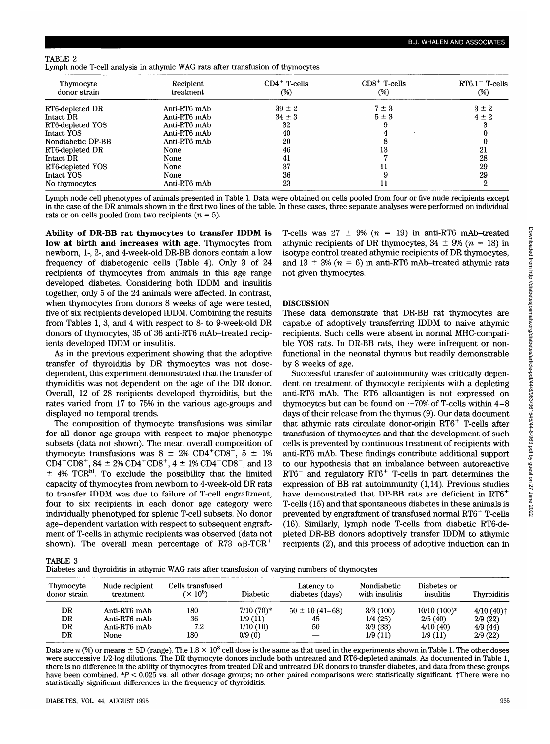## TABLE 2

Lymph node T-cell analysis in athymic WAG rats after transfusion of thymocytes

| Thymocyte<br>donor strain | Recipient<br>treatment | $CD4^+$ T-cells<br>(%) | $CD8+$ T-cells<br>$(\%)$ | $RT6.1$ <sup>+</sup> T-cells<br>(%) |
|---------------------------|------------------------|------------------------|--------------------------|-------------------------------------|
| RT6-depleted DR           | Anti-RT6 mAb           | $39 \pm 2$             | $7 \pm 3$                | $3 \pm 2$                           |
| Intact DR                 | Anti-RT6 mAb           | $34 \pm 3$             | $5 \pm 3$                | $4 \pm 2$                           |
| RT6-depleted YOS          | Anti-RT6 mAb           | 32                     |                          |                                     |
| Intact YOS                | Anti-RT6 mAb           | 40                     |                          |                                     |
| Nondiabetic DP-BB         | Anti-RT6 mAb           | 20                     |                          |                                     |
| RT6-depleted DR           | None                   | 46                     | 13                       | 21                                  |
| Intact DR                 | None                   | 41                     |                          | 28                                  |
| RT6-depleted YOS          | None                   | 37                     | 11                       | 29                                  |
| Intact YOS                | None                   | 36                     |                          | 29                                  |
| No thymocytes             | Anti-RT6 mAb           | 23                     | 11                       |                                     |

Lymph node cell phenotypes of animals presented in Table 1. Data were obtained on cells pooled from four or five nude recipients except in the case of the DR animals shown in the first two lines of the table. In these cases, three separate analyses were performed on individual rats or on cells pooled from two recipients *(n =* 5).

**Ability of DR-BB rat thymocytes to transfer IDDM is low at birth and increases with age.** Thymocytes from newborn, 1-, 2-, and 4-week-old DR-BB donors contain a low frequency of diabetogenic cells (Table 4). Only 3 of 24 recipients of thymocytes from animals in this age range developed diabetes. Considering both IDDM and insulitis together, only 5 of the 24 animals were affected. In contrast, when thymocytes from donors 8 weeks of age were tested, five of six recipients developed IDDM. Combining the results from Tables 1, 3, and 4 with respect to 8- to 9-week-old DR donors of thymocytes, 35 of 36 anti-RT6 mAb-treated recipients developed IDDM or insulitis.

As in the previous experiment showing that the adoptive transfer of thyroiditis by DR thymocytes was not dosedependent, this experiment demonstrated that the transfer of thyroiditis was not dependent on the age of the DR donor. Overall, 12 of 28 recipients developed thyroiditis, but the rates varied from 17 to 75% in the various age-groups and displayed no temporal trends.

The composition of thymocyte transfusions was similar for all donor age-groups with respect to major phenotype subsets (data not shown). The mean overall composition of thymocyte transfusions was  $8 \pm 2\%$  CD4<sup>+</sup>CD8<sup>-</sup>, 5  $\pm$  1%  $CD4-CD8^+$ ,  $84 \pm 2\% \text{ } CD4^+ \text{ } CD8^+$ ,  $4 \pm 1\% \text{ } CD4^- \text{ } CD8^-$ , and 13  $±$  4% TCR<sup>hi</sup>. To exclude the possibility that the limited capacity of thymocytes from newborn to 4-week-old DR rats to transfer IDDM was due to failure of T-cell engraftment, four to six recipients in each donor age category were individually phenotyped for splenic T-cell subsets. No donor age-dependent variation with respect to subsequent engraftment of T-cells in athymic recipients was observed (data not shown). The overall mean percentage of R73  $\alpha\beta$ -TCR<sup>+</sup>

T-cells was  $27 \pm 9\%$  ( $n = 19$ ) in anti-RT6 mAb-treated athymic recipients of DR thymocytes,  $34 \pm 9\%$  ( $n = 18$ ) in isotype control treated athymic recipients of DR thymocytes, and  $13 \pm 3\%$  ( $n = 6$ ) in anti-RT6 mAb-treated athymic rats not given thymocytes.

## **DISCUSSION**

These data demonstrate that DR-BB rat thymocytes are capable of adoptively transferring IDDM to naive athymic recipients. Such cells were absent in normal MHC-compatible YOS rats. In DR-BB rats, they were infrequent or nonfunctional in the neonatal thymus but readily demonstrable by 8 weeks of age.

Successful transfer of autoimmunity was critically dependent on treatment of thymocyte recipients with a depleting anti-RT6 mAb. The RT6 alloantigen is not expressed on thymocytes but can be found on  $\sim$ 70% of T-cells within 4–8 days of their release from the thymus (9). Our data document that athymic rats circulate donor-origin RT6<sup>+</sup> T-cells after transfusion of thymocytes and that the development of such cells is prevented by continuous treatment of recipients with anti-RT6 mAb. These findings contribute additional support to our hypothesis that an imbalance between autoreactive RT6<sup>-</sup> and regulatory RT6<sup>+</sup> T-cells in part determines the expression of BB rat autoimmunity (1,14). Previous studies have demonstrated that DP-BB rats are deficient in RT6<sup>+</sup> T-cells (15) and that spontaneous diabetes in these animals is prevented by engraftment of transfused normal RT6<sup>+</sup> T-cells (16). Similarly, lymph node T-cells from diabetic RT6-depleted DR-BB donors adoptively transfer IDDM to athymic recipients (2), and this process of adoptive induction can in

TABLE 3

| Diabetes and thyroiditis in athymic WAG rats after transfusion of varying numbers of thymocytes |  |  |
|-------------------------------------------------------------------------------------------------|--|--|
|-------------------------------------------------------------------------------------------------|--|--|

| Thymocyte<br>donor strain | Nude recipient<br>treatment                          | Cells transfused<br>$(\times 10^6)$ | <b>Diabetic</b>                              | Latency to<br>diabetes (days)    | Nondiabetic<br>with insulitis             | Diabetes or<br>insulitis                        | Thyroiditis                                   |
|---------------------------|------------------------------------------------------|-------------------------------------|----------------------------------------------|----------------------------------|-------------------------------------------|-------------------------------------------------|-----------------------------------------------|
| DR<br>DR<br>DR.<br>DR     | Anti-RT6 mAb<br>Anti-RT6 mAb<br>Anti-RT6 mAb<br>None | 180<br>36<br>7.2<br>180             | $7/10(70)*$<br>1/9(11)<br>1/10(10)<br>0/9(0) | $50 \pm 10(41 - 68)$<br>45<br>50 | 3/3(100)<br>1/4(25)<br>3/9(33)<br>1/9(11) | $10/10(100)*$<br>2/5(40)<br>4/10(40)<br>1/9(11) | $4/10(40)$ †<br>2/9(22)<br>4/9(44)<br>2/9(22) |

Data are  $n$  (%) or means  $\pm$  SD (range). The 1.8  $\times$  10 $^8$  cell dose is the same as that used in the experiments shown in Table 1. The other doses were successive 1/2-log dilutions. The DR thymocyte donors include both untreated and RT6-depleted animals. As documented in Table 1, there is no difference in the ability of thymocytes from treated DR and untreated DR donors to transfer diabetes, and data from these groups have been combined. \*P < 0.025 vs. all other dosage groups; no other paired comparisons were statistically significant. †There were no statistically significant differences in the frequency of thyroiditis.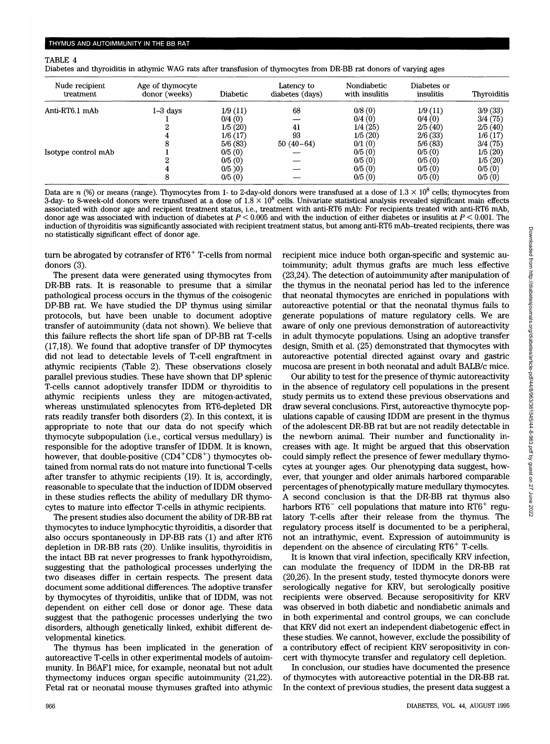### TABLE 4

Diabetes and thyroiditis in athymic WAG rats after transfusion of thymocytes from DR-BB rat donors of varying ages

| Nude recipient<br>treatment | Age of thymocyte<br>donor (weeks) | Diabetic | Latency to<br>diabetes (days) | Nondiabetic<br>with insulitis | Diabetes or<br>insulitis | Thyroiditis |
|-----------------------------|-----------------------------------|----------|-------------------------------|-------------------------------|--------------------------|-------------|
| Anti-RT6.1 mAb              | 1–3 days                          | 1/9(11)  | 68                            | 0/8(0)                        | 1/9(11)                  | 3/9(33)     |
|                             |                                   | 0/4(0)   |                               | 0/4(0)                        | 0/4(0)                   | 3/4(75)     |
|                             |                                   | 1/5(20)  | 41                            | 1/4(25)                       | 2/5(40)                  | 2/5(40)     |
|                             |                                   | 1/6(17)  | 93                            | 1/5(20)                       | 2/6(33)                  | 1/6(17)     |
|                             |                                   | 5/6(83)  | $50(40-64)$                   | 0/1(0)                        | 5/6(83)                  | 3/4(75)     |
| Isotype control mAb         |                                   | 0/5(0)   |                               | 0/5(0)                        | 0/5(0)                   | 1/5(20)     |
|                             |                                   | 0/5(0)   |                               | 0/5(0)                        | 0/5(0)                   | 1/5(20)     |
|                             |                                   | 0/5)0    |                               | 0/5(0)                        | 0/5(0)                   | 0/5(0)      |
|                             |                                   | 0/5(0)   |                               | 0/5(0)                        | 0/5(0)                   | 0/5(0)      |

Data are  $n$  (%) or means (range). Thymocytes from 1- to 2-day-old donors were transfused at a dose of  $1.3 \times 10^8$  cells; thymocytes from 3-day- to 8-week-old donors were transfused at a dose of  $1.8 \times 10^8$  cells. Univariate statistical analysis revealed significant main effects associated with donor age and recipient treatment status, i.e., treatment with anti-RT6 mAb: For recipients treated with anti-RT6 mAb, donor age was associated with induction of diabetes at *P <* 0.005 and with the induction of either diabetes or insulitis at *P <* 0.001. The induction of thyroiditis was significantly associated with recipient treatment status, but among anti-RT6 mAb-treated recipients, there was no statistically significant effect of donor age.

turn be abrogated by cotransfer of RT6<sup>+</sup> T-cells from normal donors (3).

The present data were generated using thymocytes from DR-BB rats. It is reasonable to presume that a similar pathological process occurs in the thymus of the coisogenic DP-BB rat. We have studied the DP thymus using similar protocols, but have been unable to document adoptive transfer of autoimmunity (data not shown). We believe that this failure reflects the short life span of DP-BB rat T-cells (17,18). We found that adoptive transfer of DP thymocytes did not lead to detectable levels of T-cell engraftment in athymic recipients (Table 2). These observations closely parallel previous studies. These have shown that DP splenic T-cells cannot adoptively transfer IDDM or thyroiditis to athymic recipients unless they are mitogen-activated, whereas unstimulated splenocytes from RT6-depleted DR rats readily transfer both disorders (2). In this context, it is appropriate to note that our data do not specify which thymocyte subpopulation (i.e., cortical versus medullary) is responsible for the adoptive transfer of IDDM. It is known, however, that double-positive (CD4<sup>+</sup>CD8<sup>+</sup>) thymocytes obtained from normal rats do not mature into functional T-cells after transfer to athymic recipients (19). It is, accordingly, reasonable to speculate that the induction of IDDM observed in these studies reflects the ability of medullary DR thymocytes to mature into effector T-cells in athymic recipients.

The present studies also document the ability of DR-BB rat thymocytes to induce lymphocytic thyroiditis, a disorder that also occurs spontaneously in DP-BB rats (1) and after RT6 depletion in DR-BB rats (20). Unlike insulitis, thyroiditis in the intact BB rat never progresses to frank hypothyroidism, suggesting that the pathological processes underlying the two diseases differ in certain respects. The present data document some additional differences. The adoptive transfer by thymocytes of thyroiditis, unlike that of IDDM, was not dependent on either cell dose or donor age. These data suggest that the pathogenic processes underlying the two disorders, although genetically linked, exhibit different developmental kinetics.

The thymus has been implicated in the generation of autoreactive T-cells in other experimental models of autoimmunity. In B6AF1 mice, for example, neonatal but not adult thymectomy induces organ specific autoimmunity (21,22). Fetal rat or neonatal mouse thymuses grafted into athymic recipient mice induce both organ-specific and systemic autoimmunity; adult thymus grafts are much less effective (23,24). The detection of autoimmunity after manipulation of the thymus in the neonatal period has led to the inference that neonatal thymocytes are enriched in populations with autoreactive potential or that the neonatal thymus fails to generate populations of mature regulatory cells. We are aware of only one previous demonstration of autoreactivity in adult thymocyte populations. Using an adoptive transfer design, Smith et al. (25) demonstrated that thymocytes with autoreactive potential directed against ovary and gastric mucosa are present in both neonatal and adult BALB/c mice.

Our ability to test for the presence of thymic autoreactivity in the absence of regulatory cell populations in the present study permits us to extend these previous observations and draw several conclusions. First, autoreactive thymocyte populations capable of causing IDDM are present in the thymus of the adolescent DR-BB rat but are not readily detectable in the newborn animal. Their number and functionality increases with age. It might be argued that this observation could simply reflect the presence of fewer medullary thymocytes at younger ages. Our phenotyping data suggest, however, that younger and older animals harbored comparable percentages of phenotypically mature medullary thymocytes. A second conclusion is that the DR-BB rat thymus also harbors  $RT6^-$  cell populations that mature into  $RT6^+$  regulatory T-cells after their release from the thymus. The regulatory process itself is documented to be a peripheral, not an intrathymic, event. Expression of autoimmunity is dependent on the absence of circulating RT6<sup>+</sup> T-cells.

It is known that viral infection, specifically KRV infection, can modulate the frequency of IDDM in the DR-BB rat (20,26). In the present study, tested thymocyte donors were serologically negative for KRV, but serologically positive recipients were observed. Because seropositivity for KRV was observed in both diabetic and nondiabetic animals and in both experimental and control groups, we can conclude that KRV did not exert an independent diabetogenic effect in these studies. We cannot, however, exclude the possibility of a contributory effect of recipient KRV seropositivity in concert with thymocyte transfer and regulatory cell depletion.

In conclusion, our studies have documented the presence of thymocytes with autoreactive potential in the DR-BB rat. In the context of previous studies, the present data suggest a